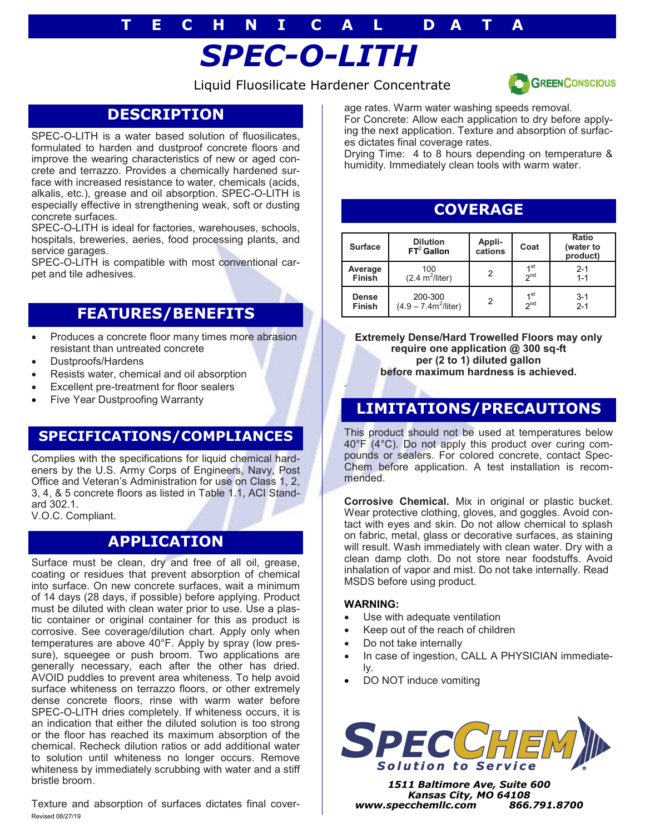# **T E C H N I C A L D A T A**

# *SPEC-O-LITH*

Liquid Fluosilicate Hardener Concentrate



# **DESCRIPTION**

SPEC-O-LITH is a water based solution of fluosilicates, formulated to harden and dustproof concrete floors and improve the wearing characteristics of new or aged concrete and terrazzo. Provides a chemically hardened surface with increased resistance to water, chemicals (acids, alkalis, etc.), grease and oil absorption. SPEC-O-LITH is especially effective in strengthening weak, soft or dusting concrete surfaces.

SPEC-O-LITH is ideal for factories, warehouses, schools, hospitals, breweries, aeries, food processing plants, and service garages.

SPEC-O-LITH is compatible with most conventional carpet and tile adhesives.

# **FEATURES/BENEFITS**

- Produces a concrete floor many times more abrasion resistant than untreated concrete
- Dustproofs/Hardens
- Resists water, chemical and oil absorption
- Excellent pre-treatment for floor sealers
- Five Year Dustproofing Warranty

## **SPECIFICATIONS/COMPLIANCES**

Complies with the specifications for liquid chemical hardeners by the U.S. Army Corps of Engineers, Navy, Post Office and Veteran's Administration for use on Class 1, 2, 3, 4, & 5 concrete floors as listed in Table 1.1, ACI Standard 302.1. V.O.C. Compliant.

**APPLICATION**

Surface must be clean, dry and free of all oil, grease, coating or residues that prevent absorption of chemical into surface. On new concrete surfaces, wait a minimum of 14 days (28 days, if possible) before applying. Product must be diluted with clean water prior to use. Use a plastic container or original container for this as product is corrosive. See coverage/dilution chart. Apply only when temperatures are above 40°F. Apply by spray (low pressure), squeegee or push broom. Two applications are generally necessary, each after the other has dried. AVOID puddles to prevent area whiteness. To help avoid surface whiteness on terrazzo floors, or other extremely dense concrete floors, rinse with warm water before SPEC-O-LITH dries completely. If whiteness occurs, it is an indication that either the diluted solution is too strong or the floor has reached its maximum absorption of the chemical. Recheck dilution ratios or add additional water to solution until whiteness no longer occurs. Remove whiteness by immediately scrubbing with water and a stiff bristle broom.

Texture and absorption of surfaces dictates final cover-Revised 08/27/19

age rates. Warm water washing speeds removal. For Concrete: Allow each application to dry before applying the next application. Texture and absorption of surfaces dictates final coverage rates.

Drying Time: 4 to 8 hours depending on temperature & humidity. Immediately clean tools with warm water.

# **COVERAGE**

| <b>Surface</b> | <b>Dilution</b><br>$FT2$ Gallon  | Appli-<br>cations | Coat            | Ratio<br>(water to<br>product) |
|----------------|----------------------------------|-------------------|-----------------|--------------------------------|
| Average        | 100                              |                   | 1 <sub>st</sub> | $2 - 1$                        |
| <b>Finish</b>  | $(2.4 \text{ m}^2/\text{liter})$ |                   | 2 <sup>nd</sup> | $1 - 1$                        |
| <b>Dense</b>   | 200-300                          |                   | 1 <sup>st</sup> | $3 - 1$                        |
| <b>Finish</b>  | $(4.9 - 7.4m^2/liter)$           |                   | 2 <sup>nd</sup> | $2 - 1$                        |

**Extremely Dense/Hard Trowelled Floors may only require one application @ 300 sq-ft per (2 to 1) diluted gallon before maximum hardness is achieved.**

## **LIMITATIONS/PRECAUTIONS**

This product should not be used at temperatures below 40°F (4°C). Do not apply this product over curing compounds or sealers. For colored concrete, contact Spec-Chem before application. A test installation is recommended.

**Corrosive Chemical.** Mix in original or plastic bucket. Wear protective clothing, gloves, and goggles. Avoid contact with eyes and skin. Do not allow chemical to splash on fabric, metal, glass or decorative surfaces, as staining will result. Wash immediately with clean water. Dry with a clean damp cloth. Do not store near foodstuffs. Avoid inhalation of vapor and mist. Do not take internally. Read MSDS before using product.

### **WARNING:**

.

- Use with adequate ventilation
- Keep out of the reach of children
- Do not take internally
- In case of ingestion, CALL A PHYSICIAN immediately.
- DO NOT induce vomiting



*1511 Baltimore Ave, Suite 600 Kansas City, MO 64108 www.specchemllc.com 866.791.8700*